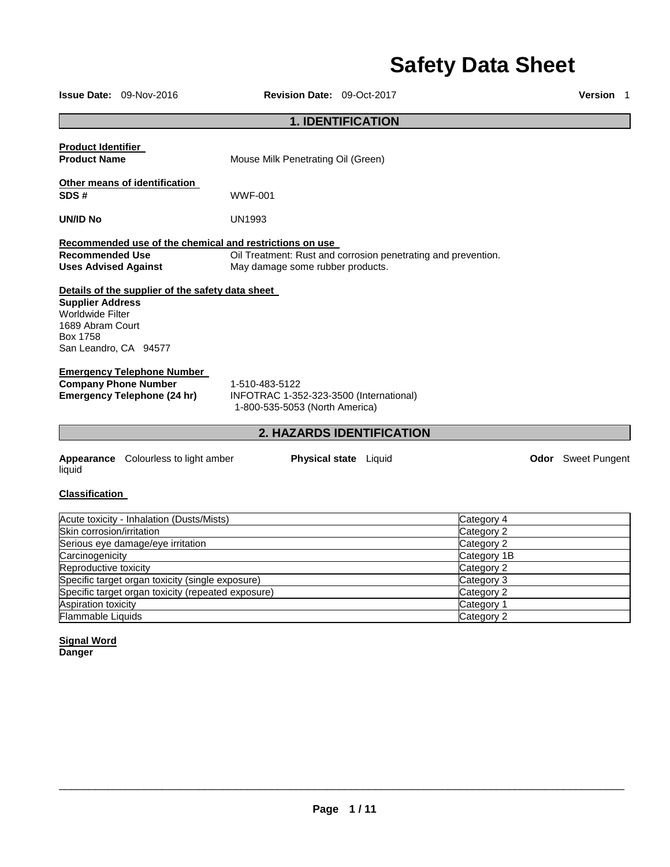# **Safety Data Sheet**

|                                                                                                      | <b>Issue Date: 09-Nov-2016</b>                                                                         | <b>Revision Date: 09-Oct-2017</b>                                                           |                                                               |                                                                     | <b>Version</b> 1          |
|------------------------------------------------------------------------------------------------------|--------------------------------------------------------------------------------------------------------|---------------------------------------------------------------------------------------------|---------------------------------------------------------------|---------------------------------------------------------------------|---------------------------|
|                                                                                                      |                                                                                                        |                                                                                             | <b>1. IDENTIFICATION</b>                                      |                                                                     |                           |
| <b>Product Identifier</b><br><b>Product Name</b>                                                     |                                                                                                        | Mouse Milk Penetrating Oil (Green)                                                          |                                                               |                                                                     |                           |
| SDS#                                                                                                 | Other means of identification                                                                          | <b>WWF-001</b>                                                                              |                                                               |                                                                     |                           |
| UN/ID No                                                                                             |                                                                                                        | UN1993                                                                                      |                                                               |                                                                     |                           |
| <b>Recommended Use</b><br><b>Uses Advised Against</b>                                                |                                                                                                        | Recommended use of the chemical and restrictions on use<br>May damage some rubber products. | Oil Treatment: Rust and corrosion penetrating and prevention. |                                                                     |                           |
| <b>Supplier Address</b><br>Worldwide Filter<br>1689 Abram Court<br>Box 1758<br>San Leandro, CA 94577 | Details of the supplier of the safety data sheet                                                       |                                                                                             |                                                               |                                                                     |                           |
|                                                                                                      | <b>Emergency Telephone Number</b><br><b>Company Phone Number</b><br><b>Emergency Telephone (24 hr)</b> | 1-510-483-5122<br>INFOTRAC 1-352-323-3500 (International)<br>1-800-535-5053 (North America) |                                                               |                                                                     |                           |
| 2. HAZARDS IDENTIFICATION                                                                            |                                                                                                        |                                                                                             |                                                               |                                                                     |                           |
| liquid                                                                                               | <b>Appearance</b> Colourless to light amber                                                            |                                                                                             | Physical state Liquid                                         |                                                                     | <b>Odor</b> Sweet Pungent |
| <b>Classification</b>                                                                                |                                                                                                        |                                                                                             |                                                               |                                                                     |                           |
| Skin corrosion/irritation<br>Carcinogenicity<br>Reproductive toxicity                                | Acute toxicity - Inhalation (Dusts/Mists)<br>Serious eye damage/eye irritation                         |                                                                                             |                                                               | Category 4<br>Category 2<br>Category 2<br>Category 1B<br>Category 2 |                           |
|                                                                                                      | Specific target organ toxicity (single exposure)                                                       |                                                                                             |                                                               | Category 3                                                          |                           |

**Signal Word Danger**

\_\_\_\_\_\_\_\_\_\_\_\_\_\_\_\_\_\_\_\_\_\_\_\_\_\_\_\_\_\_\_\_\_\_\_\_\_\_\_\_\_\_\_\_\_\_\_\_\_\_\_\_\_\_\_\_\_\_\_\_\_\_\_\_\_\_\_\_\_\_\_\_\_\_\_\_\_\_\_\_\_\_\_\_\_\_\_\_\_\_\_\_\_

Specific target organ toxicity (repeated exposure) Category 2 Aspiration toxicity Category 1 Flammable Liquids Category 2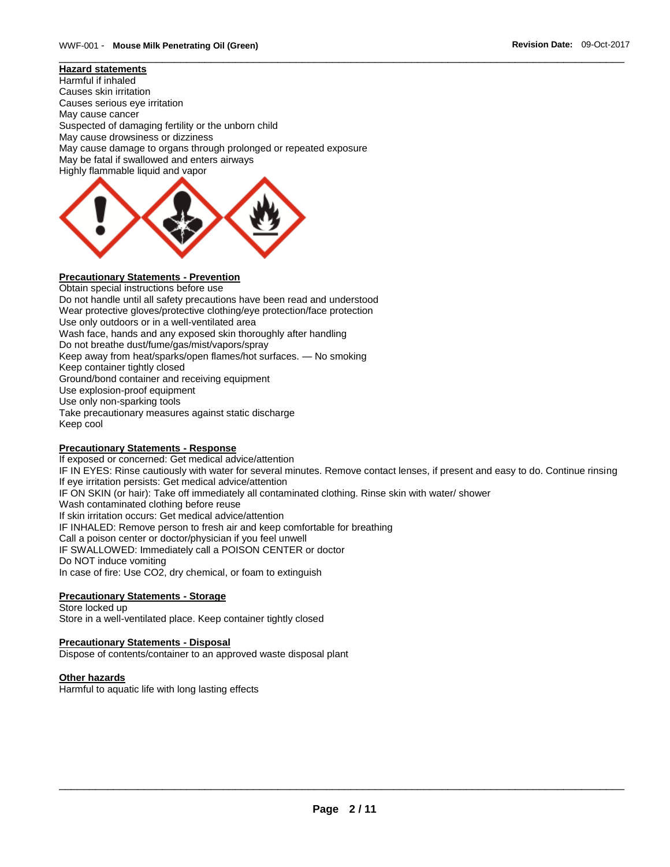#### **Hazard statements**

Harmful if inhaled Causes skin irritation Causes serious eye irritation May cause cancer Suspected of damaging fertility or the unborn child May cause drowsiness or dizziness May cause damage to organs through prolonged or repeated exposure May be fatal if swallowed and enters airways Highly flammable liquid and vapor



### **Precautionary Statements - Prevention**

Obtain special instructions before use Do not handle until all safety precautions have been read and understood Wear protective gloves/protective clothing/eye protection/face protection Use only outdoors or in a well-ventilated area Wash face, hands and any exposed skin thoroughly after handling Do not breathe dust/fume/gas/mist/vapors/spray Keep away from heat/sparks/open flames/hot surfaces. — No smoking Keep container tightly closed Ground/bond container and receiving equipment Use explosion-proof equipment Use only non-sparking tools Take precautionary measures against static discharge Keep cool

#### **Precautionary Statements - Response**

If exposed or concerned: Get medical advice/attention IF IN EYES: Rinse cautiously with water for several minutes. Remove contact lenses, if present and easy to do. Continue rinsing If eye irritation persists: Get medical advice/attention IF ON SKIN (or hair): Take off immediately all contaminated clothing. Rinse skin with water/ shower Wash contaminated clothing before reuse If skin irritation occurs: Get medical advice/attention IF INHALED: Remove person to fresh air and keep comfortable for breathing Call a poison center or doctor/physician if you feel unwell IF SWALLOWED: Immediately call a POISON CENTER or doctor Do NOT induce vomiting In case of fire: Use CO2, dry chemical, or foam to extinguish

\_\_\_\_\_\_\_\_\_\_\_\_\_\_\_\_\_\_\_\_\_\_\_\_\_\_\_\_\_\_\_\_\_\_\_\_\_\_\_\_\_\_\_\_\_\_\_\_\_\_\_\_\_\_\_\_\_\_\_\_\_\_\_\_\_\_\_\_\_\_\_\_\_\_\_\_\_\_\_\_\_\_\_\_\_\_\_\_\_\_\_\_\_

#### **Precautionary Statements - Storage**

Store locked up Store in a well-ventilated place. Keep container tightly closed

#### **Precautionary Statements - Disposal**

Dispose of contents/container to an approved waste disposal plant

#### **Other hazards**

Harmful to aquatic life with long lasting effects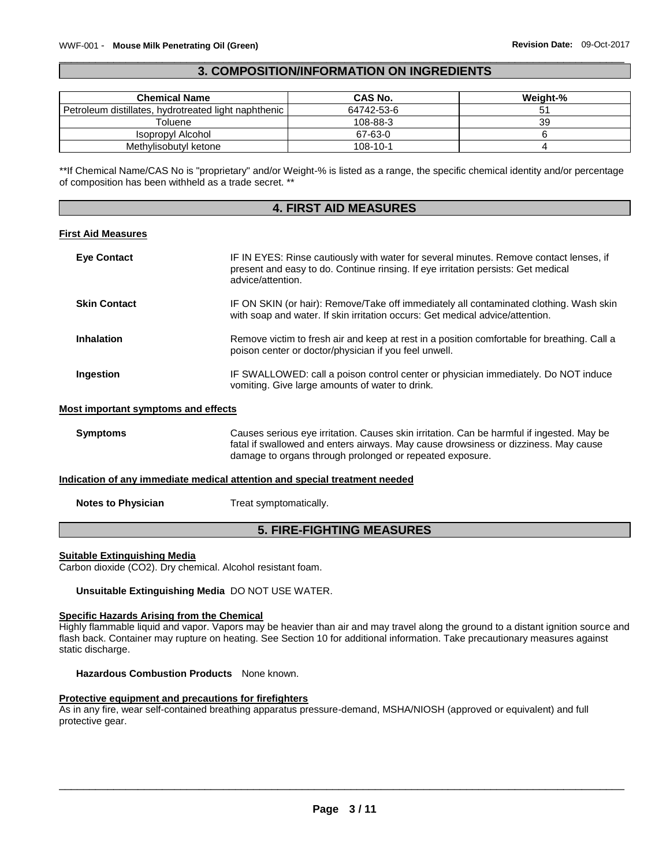#### \_\_\_\_\_\_\_\_\_\_\_\_\_\_\_\_\_\_\_\_\_\_\_\_\_\_\_\_\_\_\_\_\_\_\_\_\_\_\_\_\_\_\_\_\_\_\_\_\_\_\_\_\_\_\_\_\_\_\_\_\_\_\_\_\_\_\_\_\_\_\_\_\_\_\_\_\_\_\_\_\_\_\_\_\_\_\_\_\_\_\_\_\_ **3. COMPOSITION/INFORMATION ON INGREDIENTS**

| <b>Chemical Name</b>                                 | CAS No.    | Weight-% |
|------------------------------------------------------|------------|----------|
| Petroleum distillates, hydrotreated light naphthenic | 64742-53-6 |          |
| Toluene                                              | 108-88-3   | 39       |
| Isopropyl Alcohol                                    | 67-63-0    |          |
| Methylisobutyl ketone                                | 108-10-1   |          |

\*\*If Chemical Name/CAS No is "proprietary" and/or Weight-% is listed as a range, the specific chemical identity and/or percentage of composition has been withheld as a trade secret. \*\*

### **4. FIRST AID MEASURES**

#### **First Aid Measures**

| <b>Eye Contact</b>  | IF IN EYES: Rinse cautiously with water for several minutes. Remove contact lenses, if<br>present and easy to do. Continue rinsing. If eye irritation persists: Get medical<br>advice/attention. |
|---------------------|--------------------------------------------------------------------------------------------------------------------------------------------------------------------------------------------------|
| <b>Skin Contact</b> | IF ON SKIN (or hair): Remove/Take off immediately all contaminated clothing. Wash skin<br>with soap and water. If skin irritation occurs: Get medical advice/attention.                          |
| <b>Inhalation</b>   | Remove victim to fresh air and keep at rest in a position comfortable for breathing. Call a<br>poison center or doctor/physician if you feel unwell.                                             |
| Ingestion           | IF SWALLOWED: call a poison control center or physician immediately. Do NOT induce<br>vomiting. Give large amounts of water to drink.                                                            |

#### **Most important symptoms and effects**

**Symptoms** Causes serious eye irritation. Causes skin irritation. Can be harmful if ingested. May be fatal if swallowed and enters airways. May cause drowsiness or dizziness. May cause damage to organs through prolonged or repeated exposure.

#### **Indication of any immediate medical attention and special treatment needed**

| <b>Notes to Physician</b> | Treat symptomatically. |
|---------------------------|------------------------|
|                           |                        |

### **5. FIRE-FIGHTING MEASURES**

#### **Suitable Extinguishing Media**

Carbon dioxide (CO2). Dry chemical. Alcohol resistant foam.

**Unsuitable Extinguishing Media** DO NOT USE WATER.

#### **Specific Hazards Arising from the Chemical**

Highly flammable liquid and vapor. Vapors may be heavier than air and may travel along the ground to a distant ignition source and flash back. Container may rupture on heating. See Section 10 for additional information. Take precautionary measures against static discharge.

**Hazardous Combustion Products** None known.

#### **Protective equipment and precautions for firefighters**

As in any fire, wear self-contained breathing apparatus pressure-demand, MSHA/NIOSH (approved or equivalent) and full protective gear.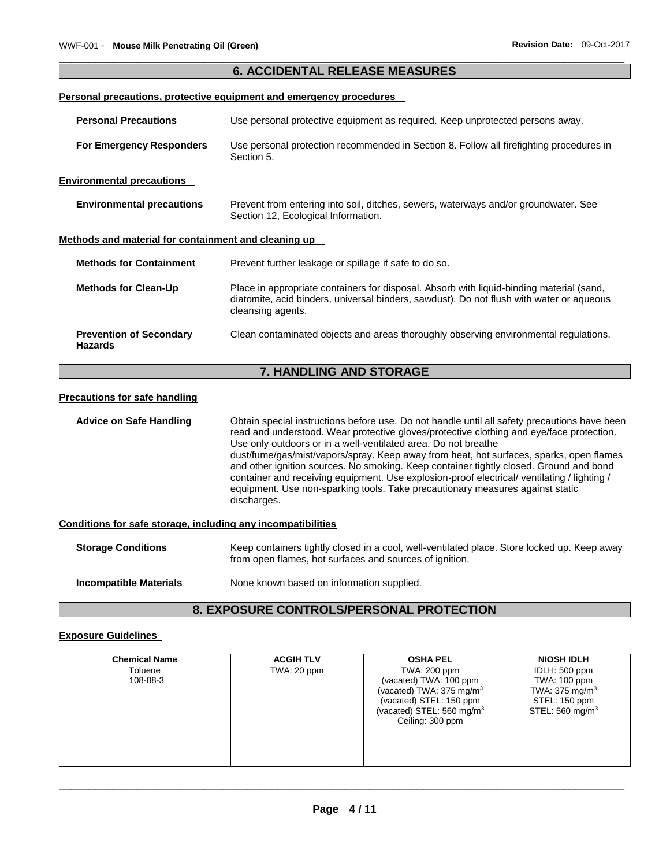#### \_\_\_\_\_\_\_\_\_\_\_\_\_\_\_\_\_\_\_\_\_\_\_\_\_\_\_\_\_\_\_\_\_\_\_\_\_\_\_\_\_\_\_\_\_\_\_\_\_\_\_\_\_\_\_\_\_\_\_\_\_\_\_\_\_\_\_\_\_\_\_\_\_\_\_\_\_\_\_\_\_\_\_\_\_\_\_\_\_\_\_\_\_ **6. ACCIDENTAL RELEASE MEASURES**

#### **Personal precautions, protective equipment and emergency procedures**

| <b>Personal Precautions</b>                          | Use personal protective equipment as required. Keep unprotected persons away.                                                                                                                             |
|------------------------------------------------------|-----------------------------------------------------------------------------------------------------------------------------------------------------------------------------------------------------------|
| <b>For Emergency Responders</b>                      | Use personal protection recommended in Section 8. Follow all firefighting procedures in<br>Section 5.                                                                                                     |
| <b>Environmental precautions</b>                     |                                                                                                                                                                                                           |
| <b>Environmental precautions</b>                     | Prevent from entering into soil, ditches, sewers, waterways and/or groundwater. See<br>Section 12, Ecological Information.                                                                                |
| Methods and material for containment and cleaning up |                                                                                                                                                                                                           |
| <b>Methods for Containment</b>                       | Prevent further leakage or spillage if safe to do so.                                                                                                                                                     |
| <b>Methods for Clean-Up</b>                          | Place in appropriate containers for disposal. Absorb with liquid-binding material (sand,<br>diatomite, acid binders, universal binders, sawdust). Do not flush with water or aqueous<br>cleansing agents. |
| <b>Prevention of Secondary</b><br><b>Hazards</b>     | Clean contaminated objects and areas thoroughly observing environmental regulations.                                                                                                                      |
|                                                      | <b>7. HANDLING AND STORAGE</b>                                                                                                                                                                            |

#### **Precautions for safe handling**

**Advice on Safe Handling** Obtain special instructions before use. Do not handle until all safety precautions have been read and understood. Wear protective gloves/protective clothing and eye/face protection. Use only outdoors or in a well-ventilated area. Do not breathe dust/fume/gas/mist/vapors/spray. Keep away from heat, hot surfaces, sparks, open flames and other ignition sources. No smoking. Keep container tightly closed. Ground and bond container and receiving equipment. Use explosion-proof electrical/ ventilating / lighting / equipment. Use non-sparking tools. Take precautionary measures against static discharges.

### **Conditions for safe storage, including any incompatibilities**

| <b>Storage Conditions</b>     | Keep containers tightly closed in a cool, well-ventilated place. Store locked up. Keep away<br>from open flames, hot surfaces and sources of ignition. |
|-------------------------------|--------------------------------------------------------------------------------------------------------------------------------------------------------|
| <b>Incompatible Materials</b> | None known based on information supplied.                                                                                                              |

### **8. EXPOSURE CONTROLS/PERSONAL PROTECTION**

#### **Exposure Guidelines**

| <b>Chemical Name</b> | <b>ACGIH TLV</b> | <b>OSHA PEL</b>                                                                                                                                                      | <b>NIOSH IDLH</b>                                                                                 |
|----------------------|------------------|----------------------------------------------------------------------------------------------------------------------------------------------------------------------|---------------------------------------------------------------------------------------------------|
| Toluene<br>108-88-3  | TWA: 20 ppm      | TWA: 200 ppm<br>(vacated) TWA: 100 ppm<br>(vacated) TWA: $375 \text{ mg/m}^3$<br>(vacated) STEL: 150 ppm<br>(vacated) STEL: $560 \text{ mg/m}^3$<br>Ceiling: 300 ppm | IDLH: 500 ppm<br>TWA: 100 ppm<br>TWA: $375 \text{ mg/m}^3$<br>STEL: 150 ppm<br>STEL: 560 mg/m $3$ |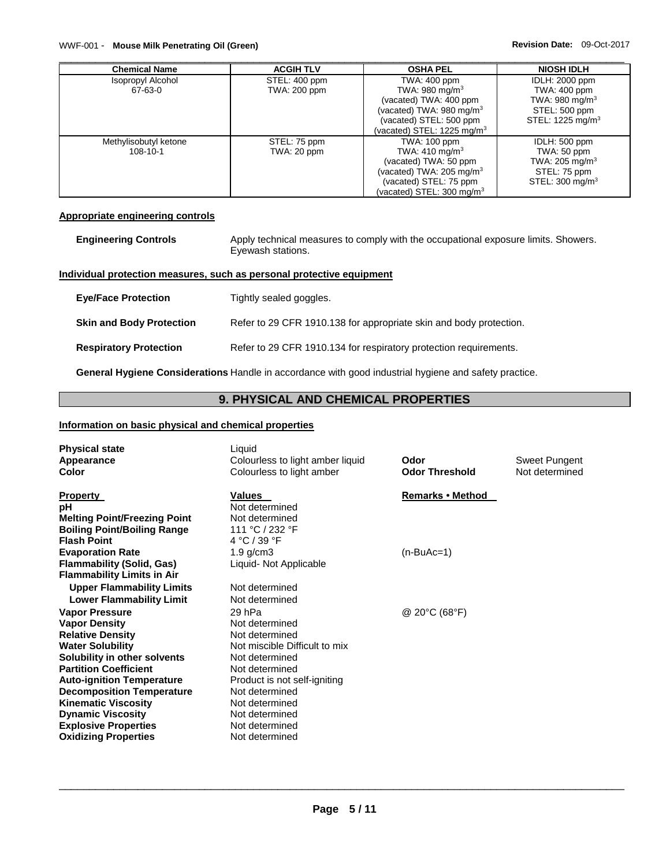#### WWF-001 - **Mouse Milk Penetrating Oil (Green) Revision Date: 09-Oct-2017 Revision Date: 09-Oct-2017**

| <b>Chemical Name</b>     | <b>ACGIH TLV</b>    | <b>OSHA PEL</b>                          | <b>NIOSH IDLH</b>            |
|--------------------------|---------------------|------------------------------------------|------------------------------|
| <b>Isopropyl Alcohol</b> | STEL: 400 ppm       | TWA: 400 ppm                             | <b>IDLH: 2000 ppm</b>        |
| 67-63-0                  | <b>TWA: 200 ppm</b> | TWA: $980 \text{ mg/m}^3$                | TWA: 400 ppm                 |
|                          |                     | (vacated) TWA: 400 ppm                   | TWA: $980 \text{ mg/m}^3$    |
|                          |                     | (vacated) TWA: 980 mg/m $3$              | STEL: 500 ppm                |
|                          |                     | (vacated) STEL: 500 ppm                  | STEL: 1225 mg/m <sup>3</sup> |
|                          |                     | (vacated) STEL: $1225$ mg/m <sup>3</sup> |                              |
| Methylisobutyl ketone    | STEL: 75 ppm        | TWA: 100 ppm                             | IDLH: 500 ppm                |
| 108-10-1                 | TWA: 20 ppm         | TWA: $410 \text{ mg/m}^3$                | TWA: 50 ppm                  |
|                          |                     | (vacated) TWA: 50 ppm                    | TWA: 205 mg/m <sup>3</sup>   |
|                          |                     | (vacated) TWA: 205 mg/m $3$              | STEL: 75 ppm                 |
|                          |                     | (vacated) STEL: 75 ppm                   | STEL: 300 mg/m <sup>3</sup>  |
|                          |                     | (vacated) STEL: 300 mg/m $3$             |                              |

#### **Appropriate engineering controls**

| <b>Engineering Controls</b> | Apply technical measures to comply with the occupational exposure limits. Showers. |
|-----------------------------|------------------------------------------------------------------------------------|
|                             | Eyewash stations.                                                                  |

#### **Individual protection measures, such as personal protective equipment**

| <b>Eye/Face Protection</b>      | Tightly sealed goggles.                                            |
|---------------------------------|--------------------------------------------------------------------|
| <b>Skin and Body Protection</b> | Refer to 29 CFR 1910.138 for appropriate skin and body protection. |
| <b>Respiratory Protection</b>   | Refer to 29 CFR 1910.134 for respiratory protection requirements.  |

**General Hygiene Considerations** Handle in accordance with good industrial hygiene and safety practice.

## **9. PHYSICAL AND CHEMICAL PROPERTIES**

#### **Information on basic physical and chemical properties**

| <b>Physical state</b><br>Appearance<br>Color                                                                                                                                                  | Liquid<br>Colourless to light amber liquid<br>Colourless to light amber                                                               | Odor<br><b>Odor Threshold</b> | Sweet Pungent<br>Not determined |
|-----------------------------------------------------------------------------------------------------------------------------------------------------------------------------------------------|---------------------------------------------------------------------------------------------------------------------------------------|-------------------------------|---------------------------------|
| <b>Property</b><br>рH<br><b>Melting Point/Freezing Point</b><br><b>Boiling Point/Boiling Range</b><br><b>Flash Point</b>                                                                      | <b>Values</b><br>Not determined<br>Not determined<br>111 °C / 232 °F<br>4 °C / 39 °F                                                  | Remarks • Method              |                                 |
| <b>Evaporation Rate</b><br><b>Flammability (Solid, Gas)</b><br><b>Flammability Limits in Air</b><br><b>Upper Flammability Limits</b>                                                          | $1.9$ g/cm $3$<br>Liquid- Not Applicable<br>Not determined                                                                            | $(n-BuAc=1)$                  |                                 |
| <b>Lower Flammability Limit</b><br><b>Vapor Pressure</b><br><b>Vapor Density</b><br><b>Relative Density</b>                                                                                   | Not determined<br>29 hPa<br>Not determined<br>Not determined                                                                          | @ 20°C (68°F)                 |                                 |
| <b>Water Solubility</b><br>Solubility in other solvents<br><b>Partition Coefficient</b><br><b>Auto-ignition Temperature</b><br><b>Decomposition Temperature</b><br><b>Kinematic Viscosity</b> | Not miscible Difficult to mix<br>Not determined<br>Not determined<br>Product is not self-igniting<br>Not determined<br>Not determined |                               |                                 |
| <b>Dynamic Viscosity</b><br><b>Explosive Properties</b><br><b>Oxidizing Properties</b>                                                                                                        | Not determined<br>Not determined<br>Not determined                                                                                    |                               |                                 |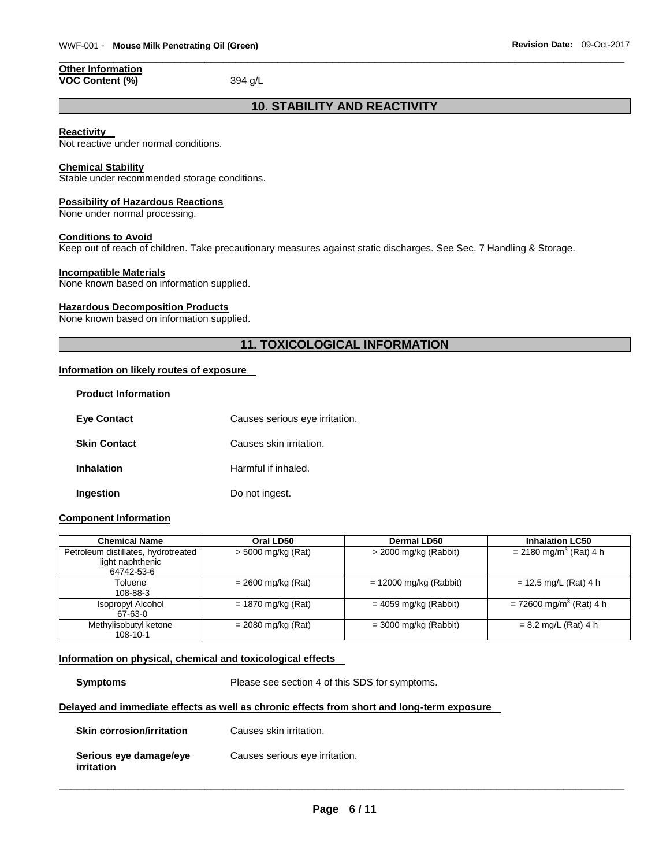#### **Other Information VOC Content (%)** 394 g/L

### **10. STABILITY AND REACTIVITY**

\_\_\_\_\_\_\_\_\_\_\_\_\_\_\_\_\_\_\_\_\_\_\_\_\_\_\_\_\_\_\_\_\_\_\_\_\_\_\_\_\_\_\_\_\_\_\_\_\_\_\_\_\_\_\_\_\_\_\_\_\_\_\_\_\_\_\_\_\_\_\_\_\_\_\_\_\_\_\_\_\_\_\_\_\_\_\_\_\_\_\_\_\_

#### **Reactivity**

Not reactive under normal conditions.

### **Chemical Stability**

Stable under recommended storage conditions.

#### **Possibility of Hazardous Reactions**

None under normal processing.

#### **Conditions to Avoid**

Keep out of reach of children. Take precautionary measures against static discharges. See Sec. 7 Handling & Storage.

#### **Incompatible Materials**

None known based on information supplied.

#### **Hazardous Decomposition Products**

None known based on information supplied.

### **11. TOXICOLOGICAL INFORMATION**

#### **Information on likely routes of exposure**

| <b>Product Information</b> |                                |
|----------------------------|--------------------------------|
| <b>Eye Contact</b>         | Causes serious eye irritation. |
| <b>Skin Contact</b>        | Causes skin irritation.        |
| <b>Inhalation</b>          | Harmful if inhaled.            |
| Ingestion                  | Do not ingest.                 |

#### **Component Information**

| <b>Chemical Name</b>                | Oral LD50            | <b>Dermal LD50</b>       | <b>Inhalation LC50</b>                |
|-------------------------------------|----------------------|--------------------------|---------------------------------------|
| Petroleum distillates, hydrotreated | > 5000 mg/kg (Rat)   | $>$ 2000 mg/kg (Rabbit)  | $= 2180$ mg/m <sup>3</sup> (Rat) 4 h  |
| light naphthenic                    |                      |                          |                                       |
| 64742-53-6                          |                      |                          |                                       |
| Toluene                             | $= 2600$ mg/kg (Rat) | $= 12000$ mg/kg (Rabbit) | $= 12.5$ mg/L (Rat) 4 h               |
| 108-88-3                            |                      |                          |                                       |
| Isopropyl Alcohol                   | $= 1870$ mg/kg (Rat) | $= 4059$ mg/kg (Rabbit)  | $= 72600$ mg/m <sup>3</sup> (Rat) 4 h |
| 67-63-0                             |                      |                          |                                       |
| Methylisobutyl ketone               | $= 2080$ mg/kg (Rat) | $=$ 3000 mg/kg (Rabbit)  | $= 8.2$ mg/L (Rat) 4 h                |
| 108-10-1                            |                      |                          |                                       |

#### **Information on physical, chemical and toxicological effects**

**Symptoms** Please see section 4 of this SDS for symptoms.

#### **Delayed and immediate effects as well as chronic effects from short and long-term exposure**

| <b>Skin corrosion/irritation</b>     | Causes skin irritation.        |
|--------------------------------------|--------------------------------|
| Serious eye damage/eye<br>irritation | Causes serious eye irritation. |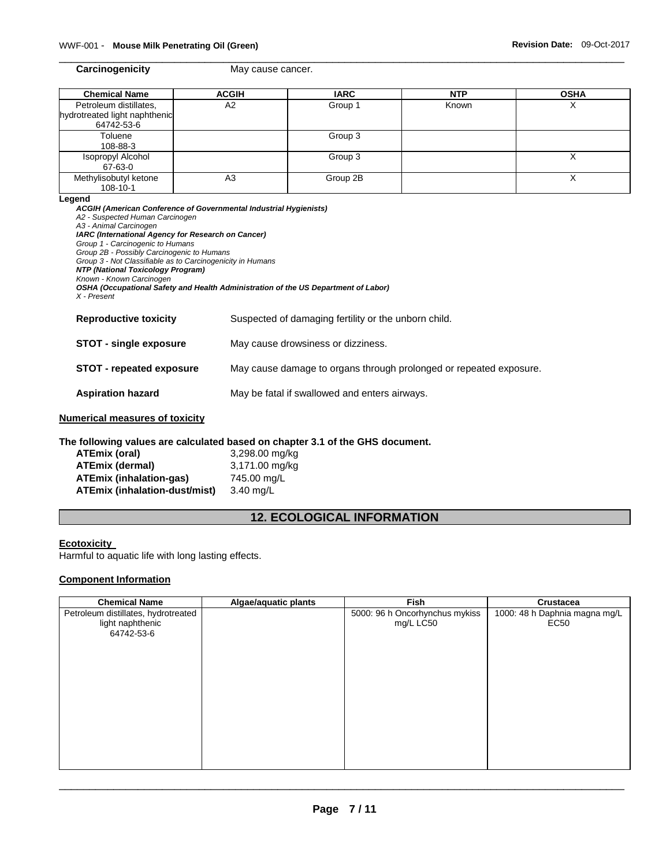\_\_\_\_\_\_\_\_\_\_\_\_\_\_\_\_\_\_\_\_\_\_\_\_\_\_\_\_\_\_\_\_\_\_\_\_\_\_\_\_\_\_\_\_\_\_\_\_\_\_\_\_\_\_\_\_\_\_\_\_\_\_\_\_\_\_\_\_\_\_\_\_\_\_\_\_\_\_\_\_\_\_\_\_\_\_\_\_\_\_\_\_\_ **Carcinogenicity May cause cancer.** 

| <b>Chemical Name</b>          | <b>ACGIH</b>   | <b>IARC</b> | <b>NTP</b> | <b>OSHA</b> |
|-------------------------------|----------------|-------------|------------|-------------|
| Petroleum distillates,        | A <sub>2</sub> | Group 1     | Known      |             |
| hydrotreated light naphthenic |                |             |            |             |
| 64742-53-6                    |                |             |            |             |
| Toluene                       |                | Group 3     |            |             |
| 108-88-3                      |                |             |            |             |
| Isopropyl Alcohol             |                | Group 3     |            |             |
| 67-63-0                       |                |             |            |             |
| Methylisobutyl ketone         | A <sub>3</sub> | Group 2B    |            |             |
| 108-10-1                      |                |             |            |             |

#### **Legend**

| <b>ACGIH (American Conference of Governmental Industrial Hygienists)</b><br>A2 - Suspected Human Carcinogen<br>A3 - Animal Carcinogen<br><b>IARC (International Agency for Research on Cancer)</b><br>Group 1 - Carcinogenic to Humans<br>Group 2B - Possibly Carcinogenic to Humans<br>Group 3 - Not Classifiable as to Carcinogenicity in Humans |                                                                                    |  |
|----------------------------------------------------------------------------------------------------------------------------------------------------------------------------------------------------------------------------------------------------------------------------------------------------------------------------------------------------|------------------------------------------------------------------------------------|--|
| <b>NTP (National Toxicology Program)</b><br>Known - Known Carcinogen<br>X - Present                                                                                                                                                                                                                                                                | OSHA (Occupational Safety and Health Administration of the US Department of Labor) |  |
| <b>Reproductive toxicity</b>                                                                                                                                                                                                                                                                                                                       | Suspected of damaging fertility or the unborn child.                               |  |
| <b>STOT - single exposure</b>                                                                                                                                                                                                                                                                                                                      | May cause drowsiness or dizziness.                                                 |  |
| <b>STOT - repeated exposure</b>                                                                                                                                                                                                                                                                                                                    | May cause damage to organs through prolonged or repeated exposure.                 |  |
| <b>Aspiration hazard</b><br>May be fatal if swallowed and enters airways.                                                                                                                                                                                                                                                                          |                                                                                    |  |
| mariaal maaasuraa af taviaitu                                                                                                                                                                                                                                                                                                                      |                                                                                    |  |

#### **Numerical measures of toxicity**

### **The following values are calculated based on chapter 3.1 of the GHS document.**

| ATEmix (oral)                  | 3,298.00 mg/kg |
|--------------------------------|----------------|
| <b>ATEmix (dermal)</b>         | 3,171.00 mg/kg |
| <b>ATEmix (inhalation-gas)</b> | 745.00 mg/L    |
| ATEmix (inhalation-dust/mist)  | $3.40$ mg/L    |

### **12. ECOLOGICAL INFORMATION**

### **Ecotoxicity**

Harmful to aquatic life with long lasting effects.

### **Component Information**

| <b>Chemical Name</b>                                                  | Algae/aquatic plants | Fish                                        | Crustacea                             |
|-----------------------------------------------------------------------|----------------------|---------------------------------------------|---------------------------------------|
| Petroleum distillates, hydrotreated<br>light naphthenic<br>64742-53-6 |                      | 5000: 96 h Oncorhynchus mykiss<br>mg/L LC50 | 1000: 48 h Daphnia magna mg/L<br>EC50 |
|                                                                       |                      |                                             |                                       |
|                                                                       |                      |                                             |                                       |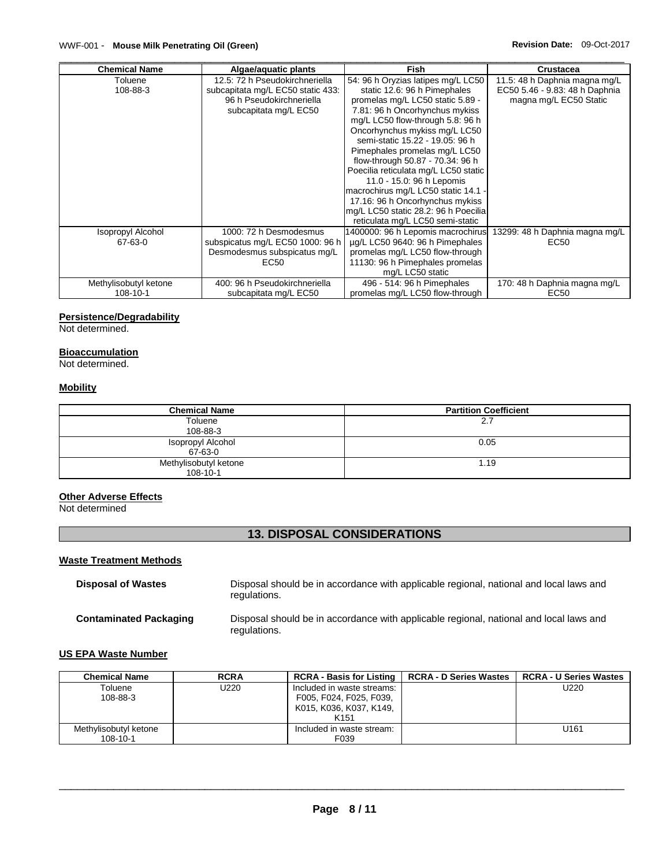| <b>Chemical Name</b>     | Algae/aquatic plants              | <b>Fish</b>                          | <b>Crustacea</b>               |
|--------------------------|-----------------------------------|--------------------------------------|--------------------------------|
| Toluene                  | 12.5: 72 h Pseudokirchneriella    | 54: 96 h Oryzias latipes mg/L LC50   | 11.5: 48 h Daphnia magna mg/L  |
| 108-88-3                 | subcapitata mg/L EC50 static 433: | static 12.6: 96 h Pimephales         | EC50 5.46 - 9.83: 48 h Daphnia |
|                          | 96 h Pseudokirchneriella          | promelas mg/L LC50 static 5.89 -     | magna mg/L EC50 Static         |
|                          | subcapitata mg/L EC50             | 7.81: 96 h Oncorhynchus mykiss       |                                |
|                          |                                   | mg/L LC50 flow-through 5.8: 96 h     |                                |
|                          |                                   | Oncorhynchus mykiss mg/L LC50        |                                |
|                          |                                   | semi-static 15.22 - 19.05: 96 h      |                                |
|                          |                                   | Pimephales promelas mg/L LC50        |                                |
|                          |                                   | flow-through 50.87 - 70.34: 96 h     |                                |
|                          |                                   | Poecilia reticulata mg/L LC50 static |                                |
|                          |                                   | 11.0 - 15.0: 96 h Lepomis            |                                |
|                          |                                   | macrochirus mg/L LC50 static 14.1 -  |                                |
|                          |                                   | 17.16: 96 h Oncorhynchus mykiss      |                                |
|                          |                                   | mg/L LC50 static 28.2: 96 h Poecilia |                                |
|                          |                                   | reticulata mg/L LC50 semi-static     |                                |
| <b>Isopropyl Alcohol</b> | 1000: 72 h Desmodesmus            | 1400000: 96 h Lepomis macrochirus    | 13299: 48 h Daphnia magna mg/L |
| 67-63-0                  | subspicatus mg/L EC50 1000: 96 h  | ug/L LC50 9640: 96 h Pimephales      | EC50                           |
|                          | Desmodesmus subspicatus mg/L      | promelas mg/L LC50 flow-through      |                                |
|                          | EC50                              | 11130: 96 h Pimephales promelas      |                                |
|                          |                                   | mg/L LC50 static                     |                                |
| Methylisobutyl ketone    | 400: 96 h Pseudokirchneriella     | 496 - 514: 96 h Pimephales           | 170: 48 h Daphnia magna mg/L   |
| 108-10-1                 | subcapitata mg/L EC50             | promelas mg/L LC50 flow-through      | EC50                           |

#### **Persistence/Degradability**

Not determined.

#### **Bioaccumulation**

Not determined.

#### **Mobility**

| <b>Chemical Name</b>  | <b>Partition Coefficient</b> |
|-----------------------|------------------------------|
| Toluene               | 2.7                          |
| 108-88-3              |                              |
| Isopropyl Alcohol     | 0.05                         |
| 67-63-0               |                              |
| Methylisobutyl ketone | 1.19                         |
| 108-10-1              |                              |

### **Other Adverse Effects**

Not determined

### **13. DISPOSAL CONSIDERATIONS**

### **Waste Treatment Methods**

| <b>Disposal of Wastes</b>     | Disposal should be in accordance with applicable regional, national and local laws and<br>regulations. |
|-------------------------------|--------------------------------------------------------------------------------------------------------|
| <b>Contaminated Packaging</b> | Disposal should be in accordance with applicable regional, national and local laws and<br>regulations. |

#### **US EPA Waste Number**

| <b>Chemical Name</b>  | <b>RCRA</b> | <b>RCRA - Basis for Listing</b> | <b>RCRA - D Series Wastes</b> | <b>RCRA - U Series Wastes</b> |
|-----------------------|-------------|---------------------------------|-------------------------------|-------------------------------|
| Toluene               | U220        | Included in waste streams:      |                               | U220                          |
| 108-88-3              |             | F005, F024, F025, F039,         |                               |                               |
|                       |             | K015, K036, K037, K149,         |                               |                               |
|                       |             | K <sub>151</sub>                |                               |                               |
| Methylisobutyl ketone |             | Included in waste stream:       |                               | U <sub>161</sub>              |
| $108 - 10 - 1$        |             | F039                            |                               |                               |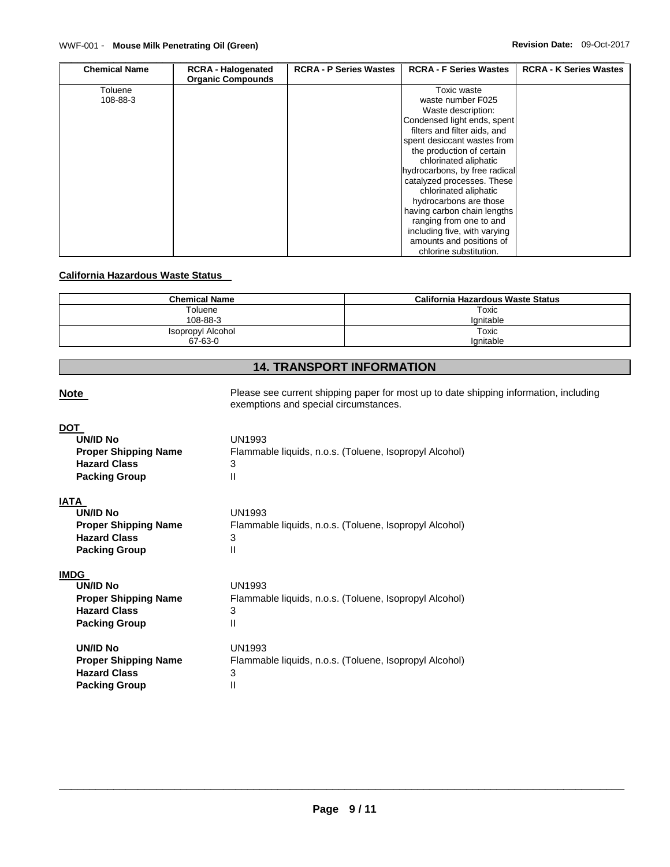| <b>Chemical Name</b> | <b>RCRA - Halogenated</b><br><b>Organic Compounds</b> | <b>RCRA - P Series Wastes</b> | <b>RCRA - F Series Wastes</b>                                                                                                                                                                                                                                                                                                                                                                                          | <b>RCRA - K Series Wastes</b> |
|----------------------|-------------------------------------------------------|-------------------------------|------------------------------------------------------------------------------------------------------------------------------------------------------------------------------------------------------------------------------------------------------------------------------------------------------------------------------------------------------------------------------------------------------------------------|-------------------------------|
| Toluene<br>108-88-3  |                                                       |                               | Toxic waste<br>waste number F025<br>Waste description:<br>Condensed light ends, spent<br>filters and filter aids, and<br>spent desiccant wastes from<br>the production of certain<br>chlorinated aliphatic<br>hydrocarbons, by free radical<br>catalyzed processes. These<br>chlorinated aliphatic<br>hydrocarbons are those<br>having carbon chain lengths<br>ranging from one to and<br>including five, with varying |                               |
|                      |                                                       |                               | amounts and positions of<br>chlorine substitution.                                                                                                                                                                                                                                                                                                                                                                     |                               |

### **California Hazardous Waste Status**

| <b>Chemical Name</b> | California Hazardous Waste Status |
|----------------------|-----------------------------------|
| Toluene              | Toxic                             |
| 108-88-3             | lanitable                         |
| Isopropyl Alcohol    | Toxic                             |
| 67-63-0              | lanitable                         |

### **14. TRANSPORT INFORMATION**

| <b>Note</b>                                                                                                  | Please see current shipping paper for most up to date shipping information, including<br>exemptions and special circumstances. |
|--------------------------------------------------------------------------------------------------------------|--------------------------------------------------------------------------------------------------------------------------------|
| <b>DOT</b><br><b>UN/ID No</b><br><b>Proper Shipping Name</b><br><b>Hazard Class</b><br><b>Packing Group</b>  | UN1993<br>Flammable liquids, n.o.s. (Toluene, Isopropyl Alcohol)<br>3<br>$\mathsf{II}$                                         |
| <b>IATA</b><br><b>UN/ID No</b><br><b>Proper Shipping Name</b><br><b>Hazard Class</b><br><b>Packing Group</b> | UN1993<br>Flammable liquids, n.o.s. (Toluene, Isopropyl Alcohol)<br>3<br>$\mathsf{II}$                                         |
| <b>IMDG</b><br><b>UN/ID No</b><br><b>Proper Shipping Name</b><br><b>Hazard Class</b><br><b>Packing Group</b> | UN1993<br>Flammable liquids, n.o.s. (Toluene, Isopropyl Alcohol)<br>3<br>Ш                                                     |
| <b>UN/ID No</b><br><b>Proper Shipping Name</b><br><b>Hazard Class</b><br><b>Packing Group</b>                | UN1993<br>Flammable liquids, n.o.s. (Toluene, Isopropyl Alcohol)<br>3<br>$\mathsf{II}$                                         |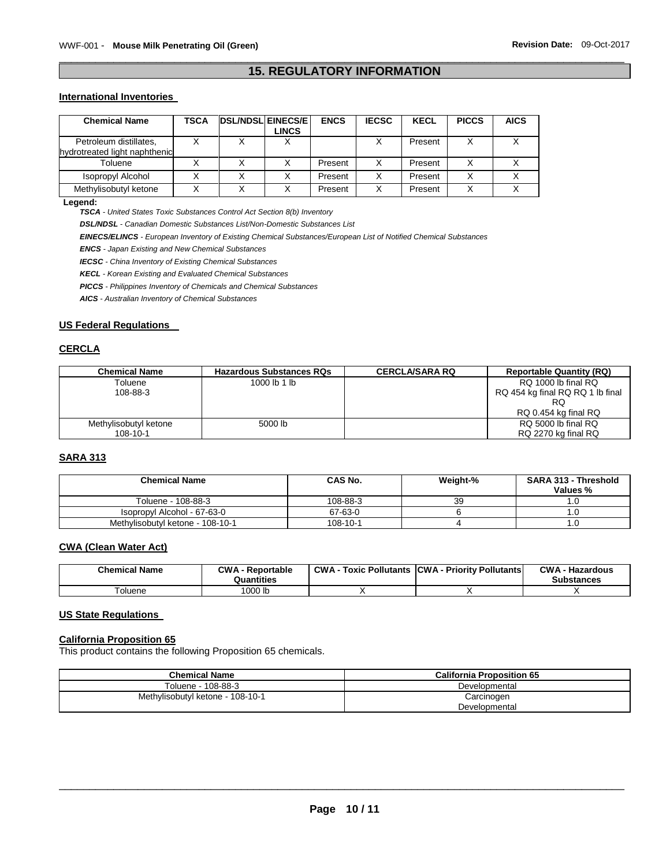### \_\_\_\_\_\_\_\_\_\_\_\_\_\_\_\_\_\_\_\_\_\_\_\_\_\_\_\_\_\_\_\_\_\_\_\_\_\_\_\_\_\_\_\_\_\_\_\_\_\_\_\_\_\_\_\_\_\_\_\_\_\_\_\_\_\_\_\_\_\_\_\_\_\_\_\_\_\_\_\_\_\_\_\_\_\_\_\_\_\_\_\_\_ **15. REGULATORY INFORMATION**

#### **International Inventories**

| <b>Chemical Name</b>                                    | TSCA | <b>DSL/NDSL EINECS/E</b> | LINCS | <b>ENCS</b> | <b>IECSC</b> | <b>KECL</b> | <b>PICCS</b> | <b>AICS</b> |
|---------------------------------------------------------|------|--------------------------|-------|-------------|--------------|-------------|--------------|-------------|
| Petroleum distillates,<br>hydrotreated light naphthenic |      |                          |       |             |              | Present     |              |             |
| Toluene                                                 |      |                          |       | Present     |              | Present     |              |             |
| Isopropyl Alcohol                                       |      |                          |       | Present     |              | Present     |              |             |
| Methylisobutyl ketone                                   |      |                          |       | Present     |              | Present     | Χ            |             |

**Legend:** 

*TSCA - United States Toxic Substances Control Act Section 8(b) Inventory* 

*DSL/NDSL - Canadian Domestic Substances List/Non-Domestic Substances List* 

*EINECS/ELINCS - European Inventory of Existing Chemical Substances/European List of Notified Chemical Substances* 

*ENCS - Japan Existing and New Chemical Substances* 

*IECSC - China Inventory of Existing Chemical Substances* 

*KECL - Korean Existing and Evaluated Chemical Substances* 

*PICCS - Philippines Inventory of Chemicals and Chemical Substances* 

*AICS - Australian Inventory of Chemical Substances* 

#### **US Federal Regulations**

#### **CERCLA**

| <b>Chemical Name</b>  | <b>Hazardous Substances RQs</b> | <b>CERCLA/SARA RQ</b> | <b>Reportable Quantity (RQ)</b>  |
|-----------------------|---------------------------------|-----------------------|----------------------------------|
| Toluene               | 1000 lb 1 lb                    |                       | RQ 1000 lb final RQ              |
| 108-88-3              |                                 |                       | RQ 454 kg final RQ RQ 1 lb final |
|                       |                                 |                       | RQ                               |
|                       |                                 |                       | RQ 0.454 kg final RQ             |
| Methylisobutyl ketone | 5000 lb                         |                       | RQ 5000 lb final RQ              |
| $108 - 10 - 1$        |                                 |                       | RQ 2270 kg final RQ              |

### **SARA 313**

| <b>Chemical Name</b>             | CAS No.  | Weight-% | <b>SARA 313 - Threshold</b><br>Values % |
|----------------------------------|----------|----------|-----------------------------------------|
| Toluene - 108-88-3               | 108-88-3 | 39       |                                         |
| Isopropyl Alcohol - 67-63-0      | 67-63-0  |          |                                         |
| Methylisobutyl ketone - 108-10-1 | 108-10-1 |          |                                         |

#### **CWA (Clean Water Act)**

| <b>Chemical Name</b> | <b>CWA - Reportable</b><br>Quantities | $CWA -$ | <b>CWA - Hazardous</b><br><b>Substances</b> |
|----------------------|---------------------------------------|---------|---------------------------------------------|
| <sup>-</sup> oluene  | 1000 lb                               |         |                                             |

#### **US State Regulations**

### **California Proposition 65**

This product contains the following Proposition 65 chemicals.

| <b>Chemical Name</b>             | <b>California Proposition 65</b> |
|----------------------------------|----------------------------------|
| Toluene - 108-88-3               | Developmental                    |
| Methylisobutyl ketone - 108-10-1 | Carcinogen<br>Developmental      |